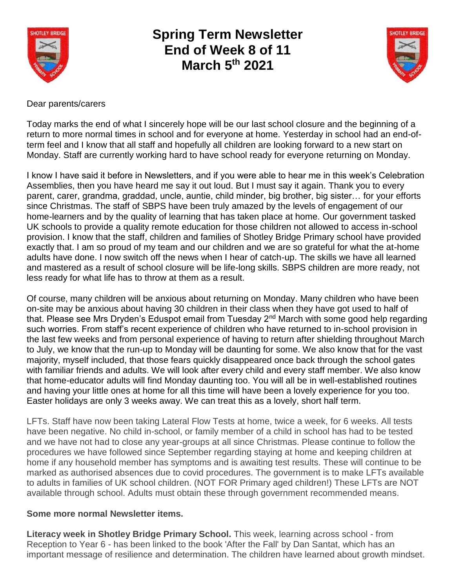

## **Spring Term Newsletter End of Week 8 of 11 March 5th 2021**



Dear parents/carers

Today marks the end of what I sincerely hope will be our last school closure and the beginning of a return to more normal times in school and for everyone at home. Yesterday in school had an end-ofterm feel and I know that all staff and hopefully all children are looking forward to a new start on Monday. Staff are currently working hard to have school ready for everyone returning on Monday.

I know I have said it before in Newsletters, and if you were able to hear me in this week's Celebration Assemblies, then you have heard me say it out loud. But I must say it again. Thank you to every parent, carer, grandma, graddad, uncle, auntie, child minder, big brother, big sister… for your efforts since Christmas. The staff of SBPS have been truly amazed by the levels of engagement of our home-learners and by the quality of learning that has taken place at home. Our government tasked UK schools to provide a quality remote education for those children not allowed to access in-school provision. I know that the staff, children and families of Shotley Bridge Primary school have provided exactly that. I am so proud of my team and our children and we are so grateful for what the at-home adults have done. I now switch off the news when I hear of catch-up. The skills we have all learned and mastered as a result of school closure will be life-long skills. SBPS children are more ready, not less ready for what life has to throw at them as a result.

Of course, many children will be anxious about returning on Monday. Many children who have been on-site may be anxious about having 30 children in their class when they have got used to half of that. Please see Mrs Dryden's Eduspot email from Tuesday 2nd March with some good help regarding such worries. From staff's recent experience of children who have returned to in-school provision in the last few weeks and from personal experience of having to return after shielding throughout March to July, we know that the run-up to Monday will be daunting for some. We also know that for the vast majority, myself included, that those fears quickly disappeared once back through the school gates with familiar friends and adults. We will look after every child and every staff member. We also know that home-educator adults will find Monday daunting too. You will all be in well-established routines and having your little ones at home for all this time will have been a lovely experience for you too. Easter holidays are only 3 weeks away. We can treat this as a lovely, short half term.

LFTs. Staff have now been taking Lateral Flow Tests at home, twice a week, for 6 weeks. All tests have been negative. No child in-school, or family member of a child in school has had to be tested and we have not had to close any year-groups at all since Christmas. Please continue to follow the procedures we have followed since September regarding staying at home and keeping children at home if any household member has symptoms and is awaiting test results. These will continue to be marked as authorised absences due to covid procedures. The government is to make LFTs available to adults in families of UK school children. (NOT FOR Primary aged children!) These LFTs are NOT available through school. Adults must obtain these through government recommended means.

## **Some more normal Newsletter items.**

**Literacy week in Shotley Bridge Primary School.** This week, learning across school - from Reception to Year 6 - has been linked to the book 'After the Fall' by Dan Santat, which has an important message of resilience and determination. The children have learned about growth mindset.